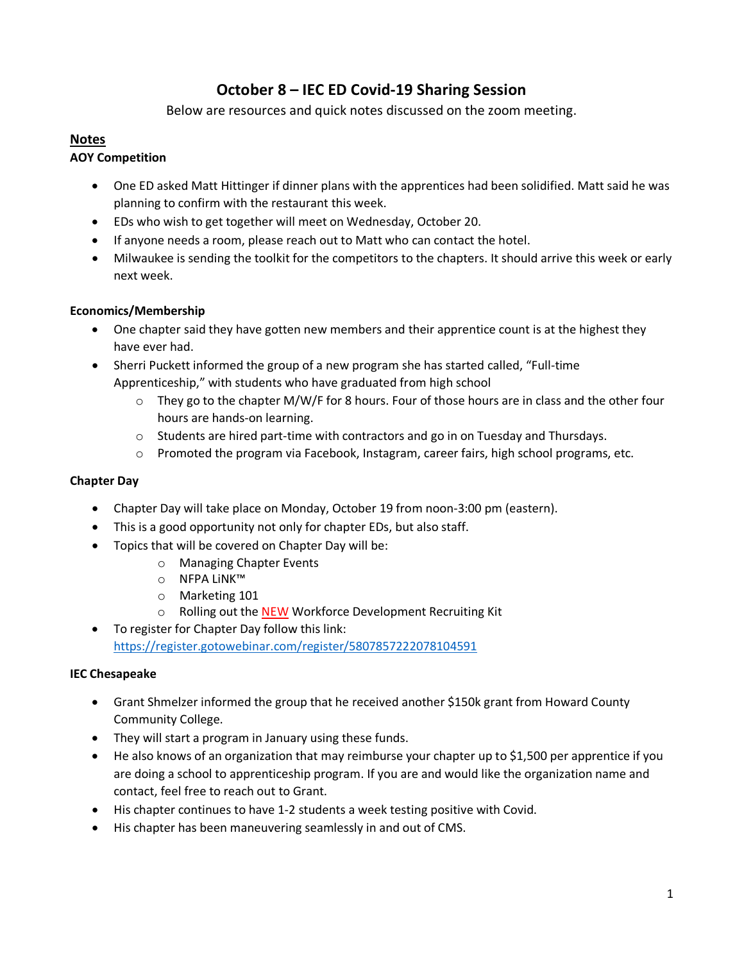# **October 8 – IEC ED Covid-19 Sharing Session**

Below are resources and quick notes discussed on the zoom meeting.

## **Notes**

## **AOY Competition**

- One ED asked Matt Hittinger if dinner plans with the apprentices had been solidified. Matt said he was planning to confirm with the restaurant this week.
- EDs who wish to get together will meet on Wednesday, October 20.
- If anyone needs a room, please reach out to Matt who can contact the hotel.
- Milwaukee is sending the toolkit for the competitors to the chapters. It should arrive this week or early next week.

## **Economics/Membership**

- One chapter said they have gotten new members and their apprentice count is at the highest they have ever had.
- Sherri Puckett informed the group of a new program she has started called, "Full-time Apprenticeship," with students who have graduated from high school
	- $\circ$  They go to the chapter M/W/F for 8 hours. Four of those hours are in class and the other four hours are hands-on learning.
	- $\circ$  Students are hired part-time with contractors and go in on Tuesday and Thursdays.
	- o Promoted the program via Facebook, Instagram, career fairs, high school programs, etc.

#### **Chapter Day**

- Chapter Day will take place on Monday, October 19 from noon-3:00 pm (eastern).
- This is a good opportunity not only for chapter EDs, but also staff.
- Topics that will be covered on Chapter Day will be:
	- o Managing Chapter Events
	- o NFPA LiNK™
	- o Marketing 101
	- o Rolling out the NEW Workforce Development Recruiting Kit
- To register for Chapter Day follow this link: <https://register.gotowebinar.com/register/5807857222078104591>

#### **IEC Chesapeake**

- Grant Shmelzer informed the group that he received another \$150k grant from Howard County Community College.
- They will start a program in January using these funds.
- He also knows of an organization that may reimburse your chapter up to \$1,500 per apprentice if you are doing a school to apprenticeship program. If you are and would like the organization name and contact, feel free to reach out to Grant.
- His chapter continues to have 1-2 students a week testing positive with Covid.
- His chapter has been maneuvering seamlessly in and out of CMS.